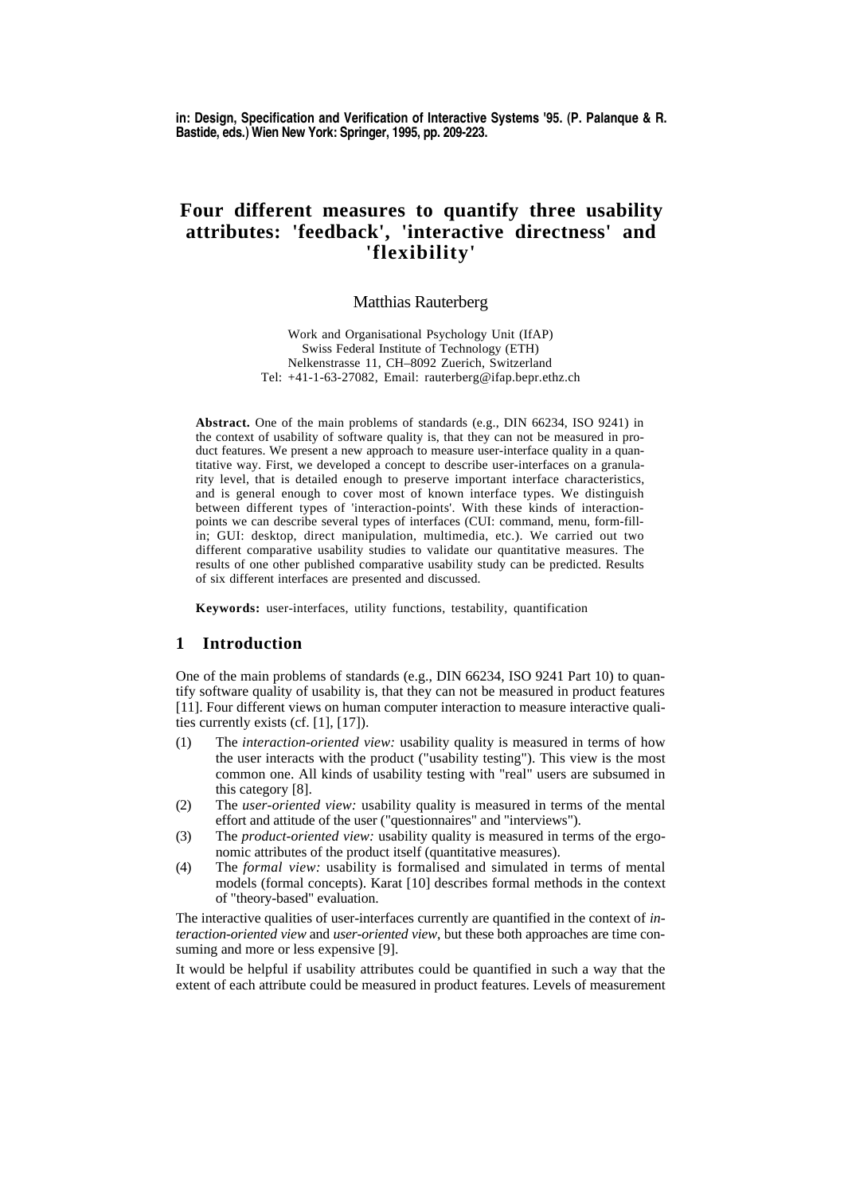**in: Design, Specification and Verification of Interactive Systems '95. (P. Palanque & R. Bastide, eds.) Wien New York: Springer, 1995, pp. 209-223.**

# **Four different measures to quantify three usability attributes: 'feedback', 'interactive directness' and 'flexibility'**

#### Matthias Rauterberg

Work and Organisational Psychology Unit (IfAP) Swiss Federal Institute of Technology (ETH) Nelkenstrasse 11, CH–8092 Zuerich, Switzerland Tel: +41-1-63-27082, Email: rauterberg@ifap.bepr.ethz.ch

**Abstract.** One of the main problems of standards (e.g., DIN 66234, ISO 9241) in the context of usability of software quality is, that they can not be measured in product features. We present a new approach to measure user-interface quality in a quantitative way. First, we developed a concept to describe user-interfaces on a granularity level, that is detailed enough to preserve important interface characteristics, and is general enough to cover most of known interface types. We distinguish between different types of 'interaction-points'. With these kinds of interactionpoints we can describe several types of interfaces (CUI: command, menu, form-fillin; GUI: desktop, direct manipulation, multimedia, etc.). We carried out two different comparative usability studies to validate our quantitative measures. The results of one other published comparative usability study can be predicted. Results of six different interfaces are presented and discussed.

**Keywords:** user-interfaces, utility functions, testability, quantification

#### **1 Introduction**

One of the main problems of standards (e.g., DIN 66234, ISO 9241 Part 10) to quantify software quality of usability is, that they can not be measured in product features [11]. Four different views on human computer interaction to measure interactive qualities currently exists (cf. [1], [17]).

- (1) The *interaction-oriented view:* usability quality is measured in terms of how the user interacts with the product ("usability testing"). This view is the most common one. All kinds of usability testing with "real" users are subsumed in this category [8].
- (2) The *user-oriented view:* usability quality is measured in terms of the mental effort and attitude of the user ("questionnaires" and "interviews").
- (3) The *product-oriented view:* usability quality is measured in terms of the ergonomic attributes of the product itself (quantitative measures).
- (4) The *formal view:* usability is formalised and simulated in terms of mental models (formal concepts). Karat [10] describes formal methods in the context of "theory-based" evaluation.

The interactive qualities of user-interfaces currently are quantified in the context of *interaction-oriented view* and *user-oriented view*, but these both approaches are time consuming and more or less expensive [9].

It would be helpful if usability attributes could be quantified in such a way that the extent of each attribute could be measured in product features. Levels of measurement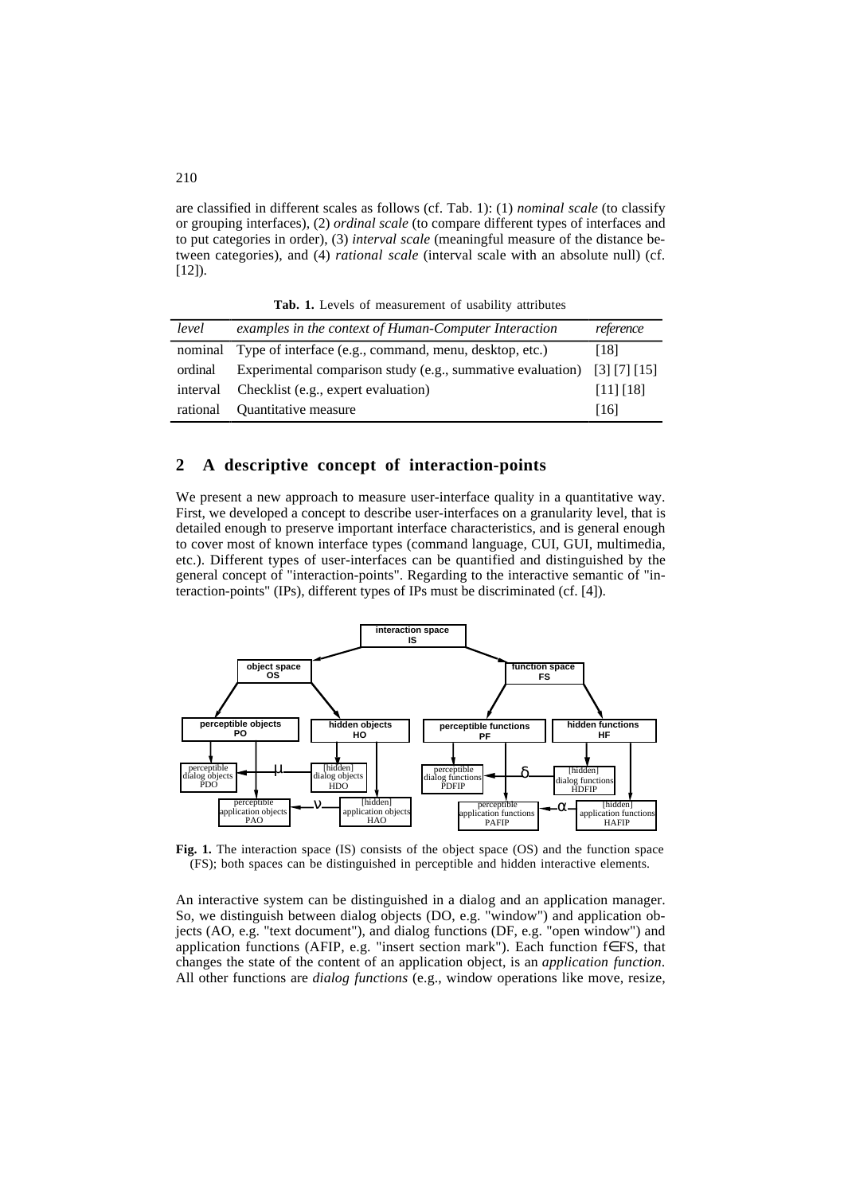are classified in different scales as follows (cf. Tab. 1): (1) *nominal scale* (to classify or grouping interfaces), (2) *ordinal scale* (to compare different types of interfaces and to put categories in order), (3) *interval scale* (meaningful measure of the distance between categories), and (4) *rational scale* (interval scale with an absolute null) (cf.  $[12]$ ).

| level    | examples in the context of Human-Computer Interaction                   | reference     |
|----------|-------------------------------------------------------------------------|---------------|
|          | nominal Type of interface (e.g., command, menu, desktop, etc.)          | [18]          |
| ordinal  | Experimental comparison study (e.g., summative evaluation) [3] [7] [15] |               |
| interval | Checklist (e.g., expert evaluation)                                     | $[11]$ $[18]$ |
| rational | Quantitative measure                                                    | [16]          |

**Tab. 1.** Levels of measurement of usability attributes

## **2 A descriptive concept of interaction-points**

We present a new approach to measure user-interface quality in a quantitative way. First, we developed a concept to describe user-interfaces on a granularity level, that is detailed enough to preserve important interface characteristics, and is general enough to cover most of known interface types (command language, CUI, GUI, multimedia, etc.). Different types of user-interfaces can be quantified and distinguished by the general concept of "interaction-points". Regarding to the interactive semantic of "interaction-points" (IPs), different types of IPs must be discriminated (cf. [4]).



Fig. 1. The interaction space (IS) consists of the object space (OS) and the function space (FS); both spaces can be distinguished in perceptible and hidden interactive elements.

An interactive system can be distinguished in a dialog and an application manager. So, we distinguish between dialog objects (DO, e.g. "window") and application objects (AO, e.g. "text document"), and dialog functions (DF, e.g. "open window") and application functions (AFIP, e.g. "insert section mark"). Each function f∈FS, that changes the state of the content of an application object, is an *application function*. All other functions are *dialog functions* (e.g., window operations like move, resize,

210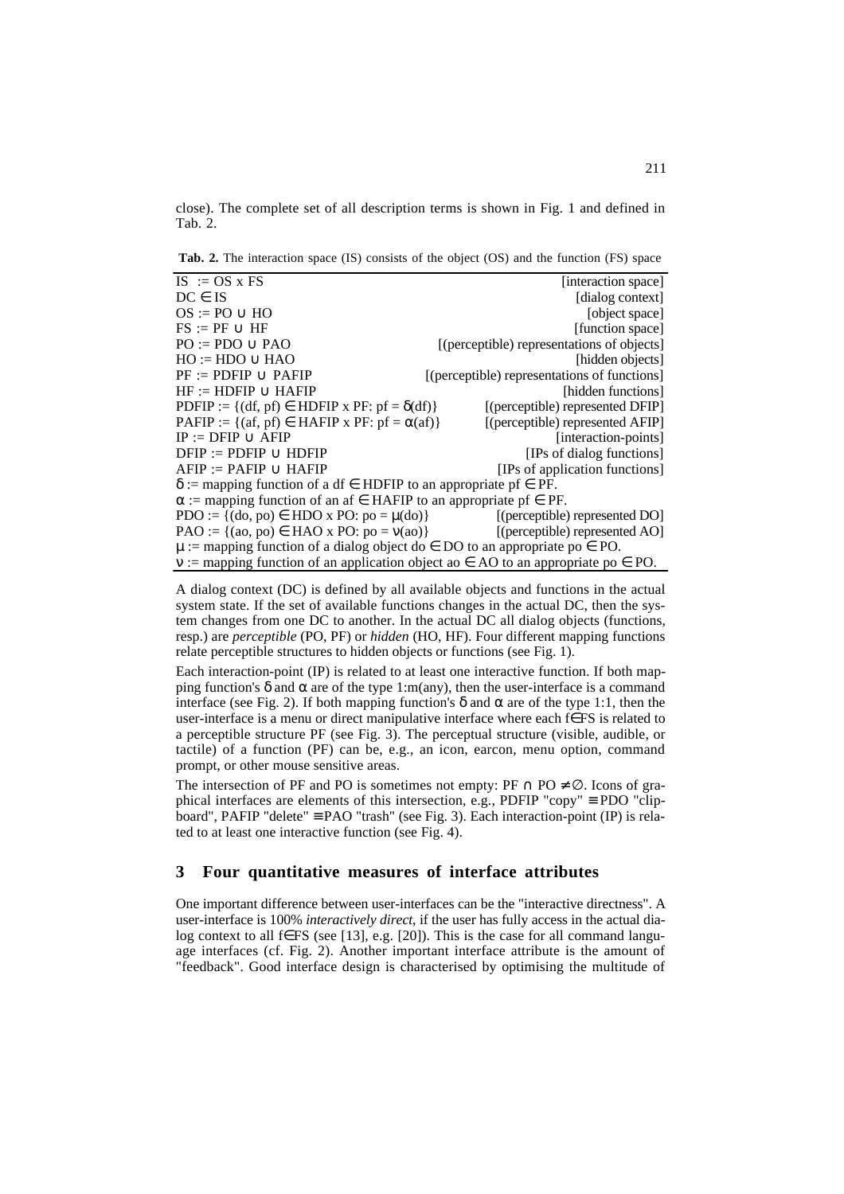close). The complete set of all description terms is shown in Fig. 1 and defined in Tab. 2.

**Tab. 2.** The interaction space (IS) consists of the object (OS) and the function (FS) space

| $IS := OS \times FS$                                                                        | [interaction space]                          |
|---------------------------------------------------------------------------------------------|----------------------------------------------|
| $DC \in IS$                                                                                 | [dialog context]                             |
| $OS := PO \cup HO$                                                                          | [object space]                               |
| $FS := PF \cup HF$                                                                          | [function space]                             |
| $PO := PDO \cup PAO$                                                                        | [(perceptible) representations of objects]   |
| $HO := HDO \cup HAO$                                                                        | [hidden objects]                             |
| $PF := PDFIP \cup PAFIP$                                                                    | [(perceptible) representations of functions] |
| $HF := HDFIP \cup HAFIP$                                                                    | [hidden functions]                           |
| PDFIP := { $(df, pf) \in HDFIP x PF: pf = \delta(df)$ }                                     | [(perceptible) represented DFIP]             |
| PAFIP := { $(af, pf) \in HAFIP x PF: pf = \alpha(af)$ }                                     | [(perceptible) represented AFIP]             |
| $IP := DFTP \cup AFIP$                                                                      | [interaction-points]                         |
| $DFIP := PDFIP \cup HDFIP$                                                                  | [IPs of dialog functions]                    |
| $AFIP := PAFIP \cup HAFIP$                                                                  | [IPs of application functions]               |
| $\delta$ := mapping function of a df $\in$ HDFIP to an appropriate pf $\in$ PF.             |                                              |
| $\alpha$ := mapping function of an af $\in$ HAFIP to an appropriate pf $\in$ PF.            |                                              |
| PDO := { $(do, po) \in HDO x PO$ : $po = \mu(do)$ } [(perceptible) represented DO]          |                                              |
| $PAO := \{(ao, po) \in HAO \times PO: po = v(ao)\}\$                                        | $[$ (perceptible) represented AO $]$         |
| $\mu$ := mapping function of a dialog object do $\in$ DO to an appropriate po $\in$ PO.     |                                              |
| $v :=$ mapping function of an application object ao $\in$ AO to an appropriate po $\in$ PO. |                                              |

A dialog context (DC) is defined by all available objects and functions in the actual system state. If the set of available functions changes in the actual DC, then the system changes from one DC to another. In the actual DC all dialog objects (functions, resp.) are *perceptible* (PO, PF) or *hidden* (HO, HF). Four different mapping functions relate perceptible structures to hidden objects or functions (see Fig. 1).

Each interaction-point (IP) is related to at least one interactive function. If both mapping function's δ and α are of the type 1:m(any), then the user-interface is a command interface (see Fig. 2). If both mapping function's δ and α are of the type 1:1, then the user-interface is a menu or direct manipulative interface where each f∈FS is related to a perceptible structure PF (see Fig. 3). The perceptual structure (visible, audible, or tactile) of a function (PF) can be, e.g., an icon, earcon, menu option, command prompt, or other mouse sensitive areas.

The intersection of PF and PO is sometimes not empty: PF  $\cap$  PO  $\neq \emptyset$ . Icons of graphical interfaces are elements of this intersection, e.g., PDFIP "copy" ≡ PDO "clipboard", PAFIP "delete"  $\equiv$  PAO "trash" (see Fig. 3). Each interaction-point (IP) is related to at least one interactive function (see Fig. 4).

## **3 Four quantitative measures of interface attributes**

One important difference between user-interfaces can be the "interactive directness". A user-interface is 100% *interactively direct*, if the user has fully access in the actual dialog context to all f∈FS (see [13], e.g. [20]). This is the case for all command language interfaces (cf. Fig. 2). Another important interface attribute is the amount of "feedback". Good interface design is characterised by optimising the multitude of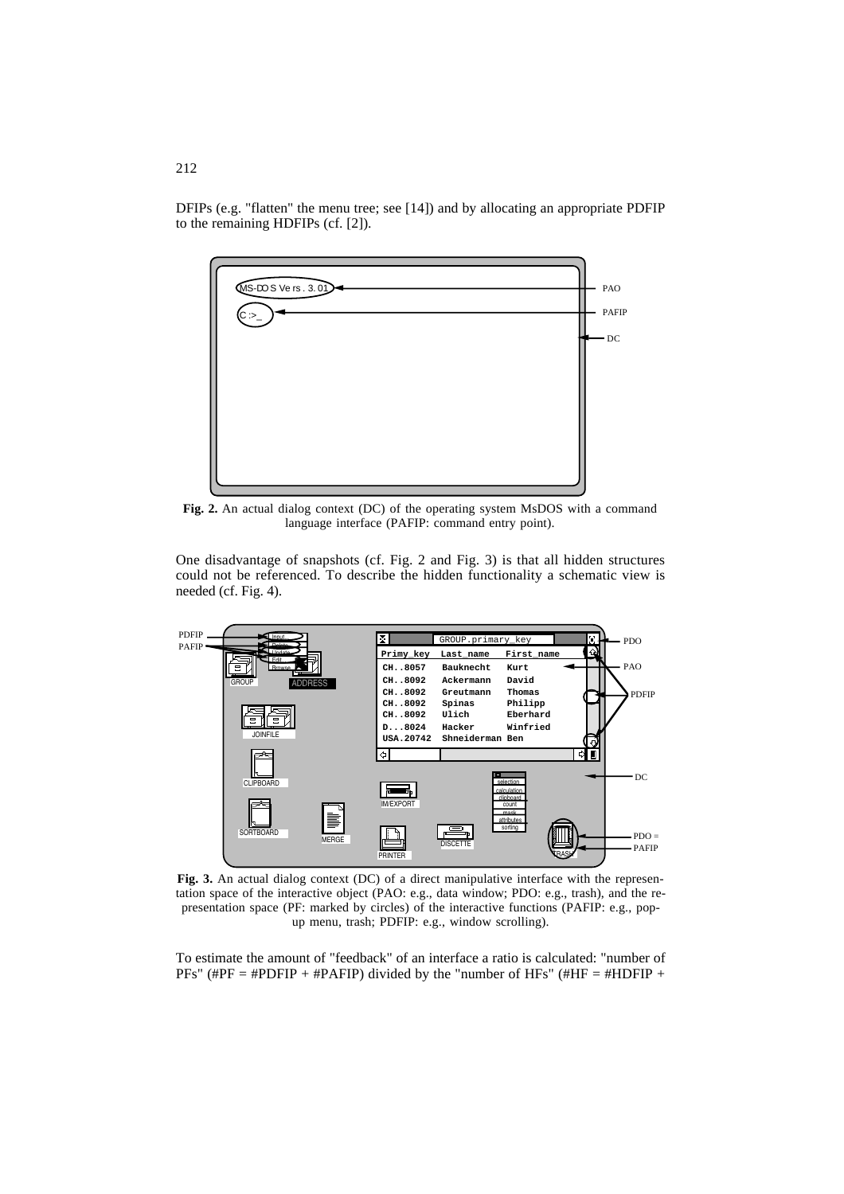

DFIPs (e.g. "flatten" the menu tree; see [14]) and by allocating an appropriate PDFIP to the remaining HDFIPs (cf. [2]).

**Fig. 2.** An actual dialog context (DC) of the operating system MsDOS with a command language interface (PAFIP: command entry point).

One disadvantage of snapshots (cf. Fig. 2 and Fig. 3) is that all hidden structures could not be referenced. To describe the hidden functionality a schematic view is needed (cf. Fig. 4).



**Fig. 3.** An actual dialog context (DC) of a direct manipulative interface with the representation space of the interactive object (PAO: e.g., data window; PDO: e.g., trash), and the representation space (PF: marked by circles) of the interactive functions (PAFIP: e.g., popup menu, trash; PDFIP: e.g., window scrolling).

To estimate the amount of "feedback" of an interface a ratio is calculated: "number of PFs" (#PF = #PDFIP + #PAFIP) divided by the "number of HFs" (#HF = #HDFIP +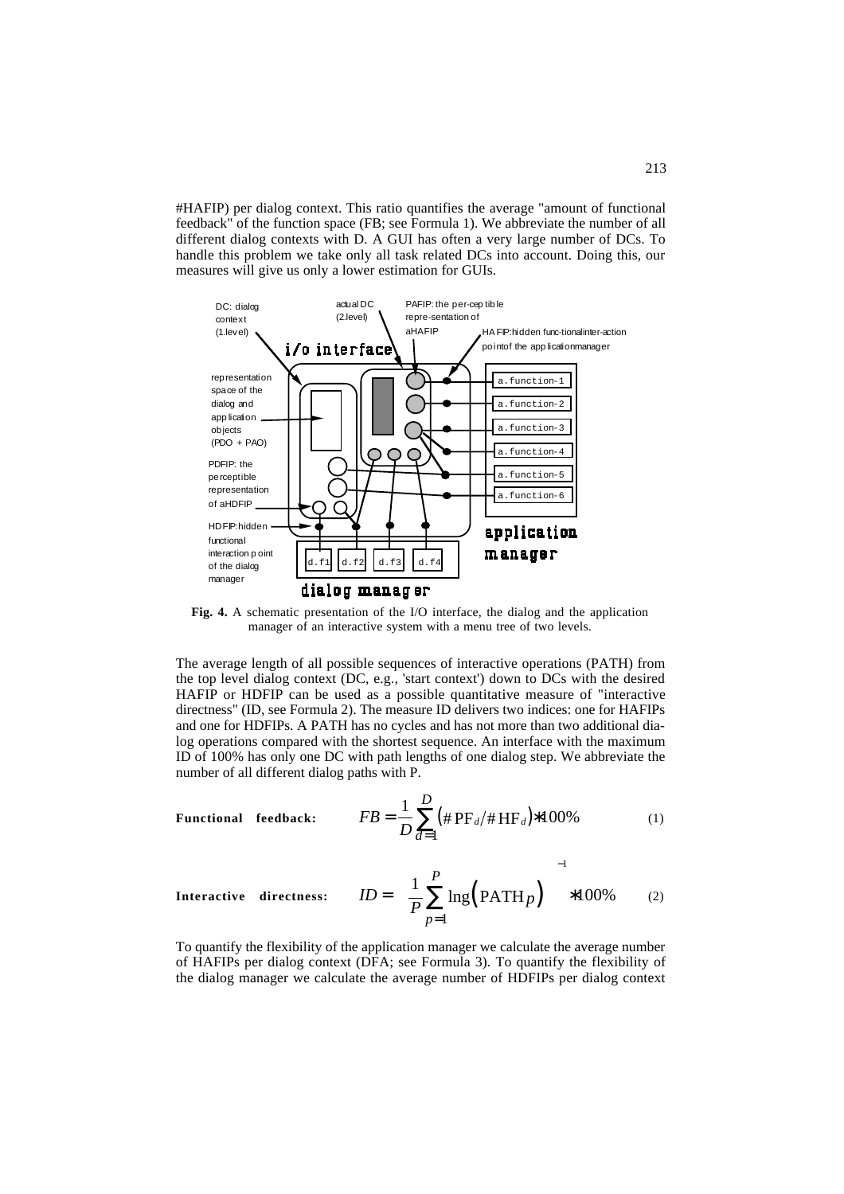#HAFIP) per dialog context. This ratio quantifies the average "amount of functional feedback" of the function space (FB; see Formula 1). We abbreviate the number of all different dialog contexts with D. A GUI has often a very large number of DCs. To handle this problem we take only all task related DCs into account. Doing this, our measures will give us only a lower estimation for GUIs.



**Fig. 4.** A schematic presentation of the I/O interface, the dialog and the application manager of an interactive system with a menu tree of two levels.

The average length of all possible sequences of interactive operations (PATH) from the top level dialog context (DC, e.g., 'start context') down to DCs with the desired HAFIP or HDFIP can be used as a possible quantitative measure of "interactive directness" (ID, see Formula 2). The measure ID delivers two indices: one for HAFIPs and one for HDFIPs. A PATH has no cycles and has not more than two additional dialog operations compared with the shortest sequence. An interface with the maximum ID of 100% has only one DC with path lengths of one dialog step. We abbreviate the number of all different dialog paths with P.

 $Functional$  feedback:

$$
FB = \frac{1}{D} \sum_{d=1}^{D} (\# \text{PF}_d / \# \text{HF}_d) * 100\%
$$
 (1)

 $Interactive$  directness:

$$
ID = \left\{ \frac{1}{P} \sum_{p=1}^{P} \ln g \left( PATH_p \right) \right\}^{-1} * 100\% \qquad (2)
$$

To quantify the flexibility of the application manager we calculate the average number of HAFIPs per dialog context (DFA; see Formula 3). To quantify the flexibility of the dialog manager we calculate the average number of HDFIPs per dialog context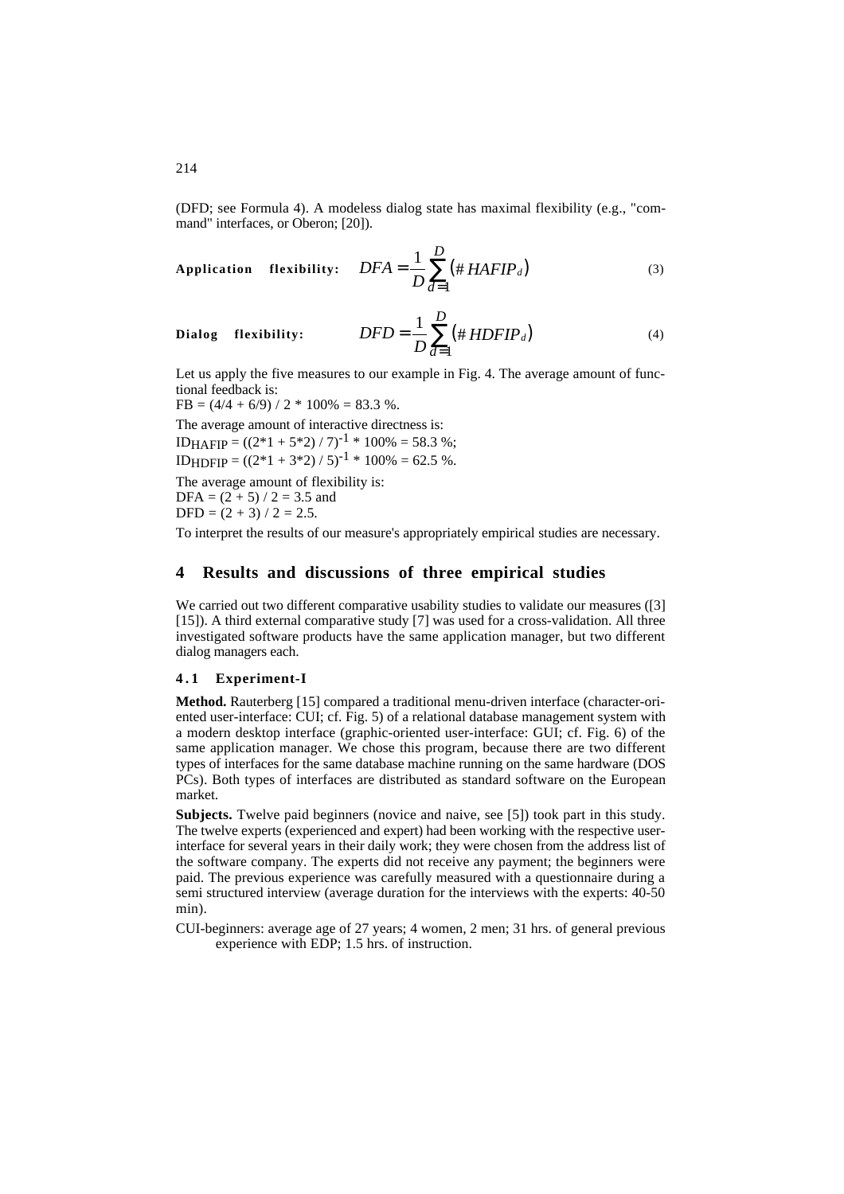(DFD; see Formula 4). A modeless dialog state has maximal flexibility (e.g., "command" interfaces, or Oberon; [20]).

Application flexibility: 
$$
DFA = \frac{1}{D} \sum_{d=1}^{D} (\# HAFIP_d)
$$
 (3)

**Dialog** flexibility: 
$$
DFD = \frac{1}{T}
$$

$$
DFD = \frac{1}{D} \sum_{d=1}^{D} \left( # HDFIP_d \right) \tag{4}
$$

Let us apply the five measures to our example in Fig. 4. The average amount of functional feedback is:

 $FB = (4/4 + 6/9) / 2 * 100\% = 83.3 %$ .

The average amount of interactive directness is: ID<sub>HAFIP</sub> =  $((2*1 + 5*2) / 7)^{-1} * 100\% = 58.3$  %; IDHDFIP =  $((2*1 + 3*2) / 5)^{-1} * 100\% = 62.5\%$ .

The average amount of flexibility is:

 $DFA = (2 + 5) / 2 = 3.5$  and

 $DFD = (2 + 3) / 2 = 2.5.$ 

To interpret the results of our measure's appropriately empirical studies are necessary.

## **4 Results and discussions of three empirical studies**

We carried out two different comparative usability studies to validate our measures ([3] [15]). A third external comparative study [7] was used for a cross-validation. All three investigated software products have the same application manager, but two different dialog managers each.

#### **4.1 Experiment-I**

**Method.** Rauterberg [15] compared a traditional menu-driven interface (character-oriented user-interface: CUI; cf. Fig. 5) of a relational database management system with a modern desktop interface (graphic-oriented user-interface: GUI; cf. Fig. 6) of the same application manager. We chose this program, because there are two different types of interfaces for the same database machine running on the same hardware (DOS PCs). Both types of interfaces are distributed as standard software on the European market.

**Subjects.** Twelve paid beginners (novice and naive, see [5]) took part in this study. The twelve experts (experienced and expert) had been working with the respective userinterface for several years in their daily work; they were chosen from the address list of the software company. The experts did not receive any payment; the beginners were paid. The previous experience was carefully measured with a questionnaire during a semi structured interview (average duration for the interviews with the experts: 40-50 min).

CUI-beginners: average age of 27 years; 4 women, 2 men; 31 hrs. of general previous experience with EDP; 1.5 hrs. of instruction.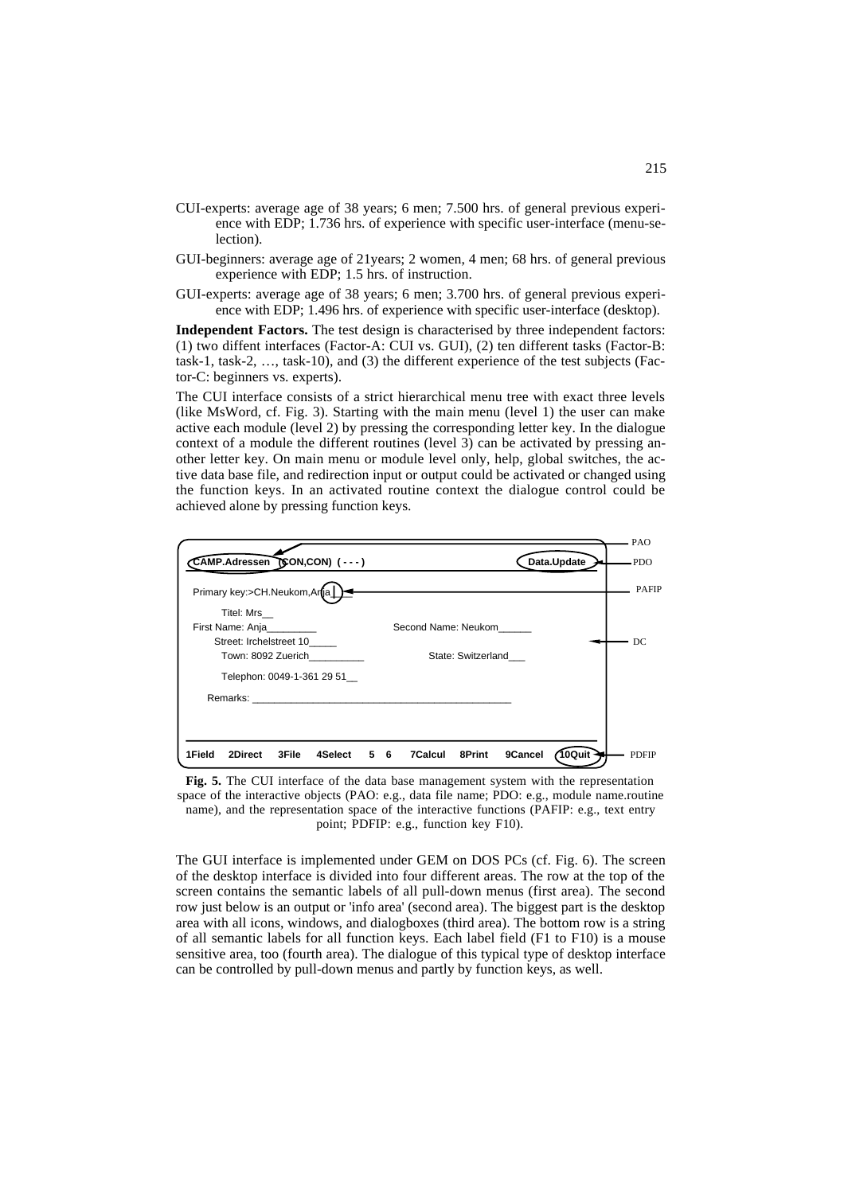- CUI-experts: average age of 38 years; 6 men; 7.500 hrs. of general previous experience with EDP; 1.736 hrs. of experience with specific user-interface (menu-selection).
- GUI-beginners: average age of 21years; 2 women, 4 men; 68 hrs. of general previous experience with EDP; 1.5 hrs. of instruction.
- GUI-experts: average age of 38 years; 6 men; 3.700 hrs. of general previous experience with EDP; 1.496 hrs. of experience with specific user-interface (desktop).

**Independent Factors.** The test design is characterised by three independent factors: (1) two diffent interfaces (Factor-A: CUI vs. GUI), (2) ten different tasks (Factor-B: task-1, task-2, …, task-10), and (3) the different experience of the test subjects (Factor-C: beginners vs. experts).

The CUI interface consists of a strict hierarchical menu tree with exact three levels (like MsWord, cf. Fig. 3). Starting with the main menu (level 1) the user can make active each module (level 2) by pressing the corresponding letter key. In the dialogue context of a module the different routines (level 3) can be activated by pressing another letter key. On main menu or module level only, help, global switches, the active data base file, and redirection input or output could be activated or changed using the function keys. In an activated routine context the dialogue control could be achieved alone by pressing function keys.



**Fig. 5.** The CUI interface of the data base management system with the representation space of the interactive objects (PAO: e.g., data file name; PDO: e.g., module name.routine name), and the representation space of the interactive functions (PAFIP: e.g., text entry point; PDFIP: e.g., function key F10).

The GUI interface is implemented under GEM on DOS PCs (cf. Fig. 6). The screen of the desktop interface is divided into four different areas. The row at the top of the screen contains the semantic labels of all pull-down menus (first area). The second row just below is an output or 'info area' (second area). The biggest part is the desktop area with all icons, windows, and dialogboxes (third area). The bottom row is a string of all semantic labels for all function keys. Each label field (F1 to F10) is a mouse sensitive area, too (fourth area). The dialogue of this typical type of desktop interface can be controlled by pull-down menus and partly by function keys, as well.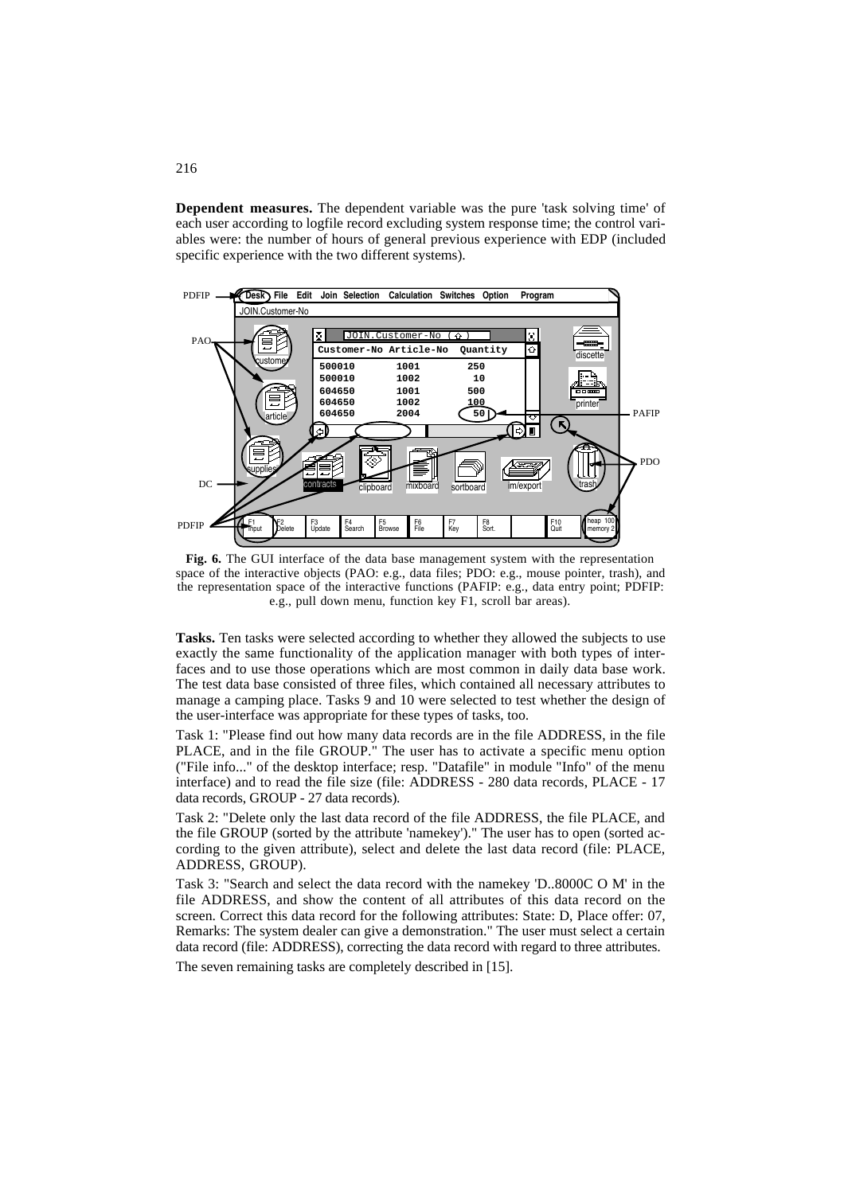**Dependent measures.** The dependent variable was the pure 'task solving time' of each user according to logfile record excluding system response time; the control variables were: the number of hours of general previous experience with EDP (included specific experience with the two different systems).



**Fig. 6.** The GUI interface of the data base management system with the representation space of the interactive objects (PAO: e.g., data files; PDO: e.g., mouse pointer, trash), and the representation space of the interactive functions (PAFIP: e.g., data entry point; PDFIP: e.g., pull down menu, function key F1, scroll bar areas).

**Tasks.** Ten tasks were selected according to whether they allowed the subjects to use exactly the same functionality of the application manager with both types of interfaces and to use those operations which are most common in daily data base work. The test data base consisted of three files, which contained all necessary attributes to manage a camping place. Tasks 9 and 10 were selected to test whether the design of the user-interface was appropriate for these types of tasks, too.

Task 1: "Please find out how many data records are in the file ADDRESS, in the file PLACE, and in the file GROUP." The user has to activate a specific menu option ("File info..." of the desktop interface; resp. "Datafile" in module "Info" of the menu interface) and to read the file size (file: ADDRESS - 280 data records, PLACE - 17 data records, GROUP - 27 data records).

Task 2: "Delete only the last data record of the file ADDRESS, the file PLACE, and the file GROUP (sorted by the attribute 'namekey')." The user has to open (sorted according to the given attribute), select and delete the last data record (file: PLACE, ADDRESS, GROUP).

Task 3: "Search and select the data record with the namekey 'D..8000C O M' in the file ADDRESS, and show the content of all attributes of this data record on the screen. Correct this data record for the following attributes: State: D, Place offer: 07, Remarks: The system dealer can give a demonstration." The user must select a certain data record (file: ADDRESS), correcting the data record with regard to three attributes.

The seven remaining tasks are completely described in [15].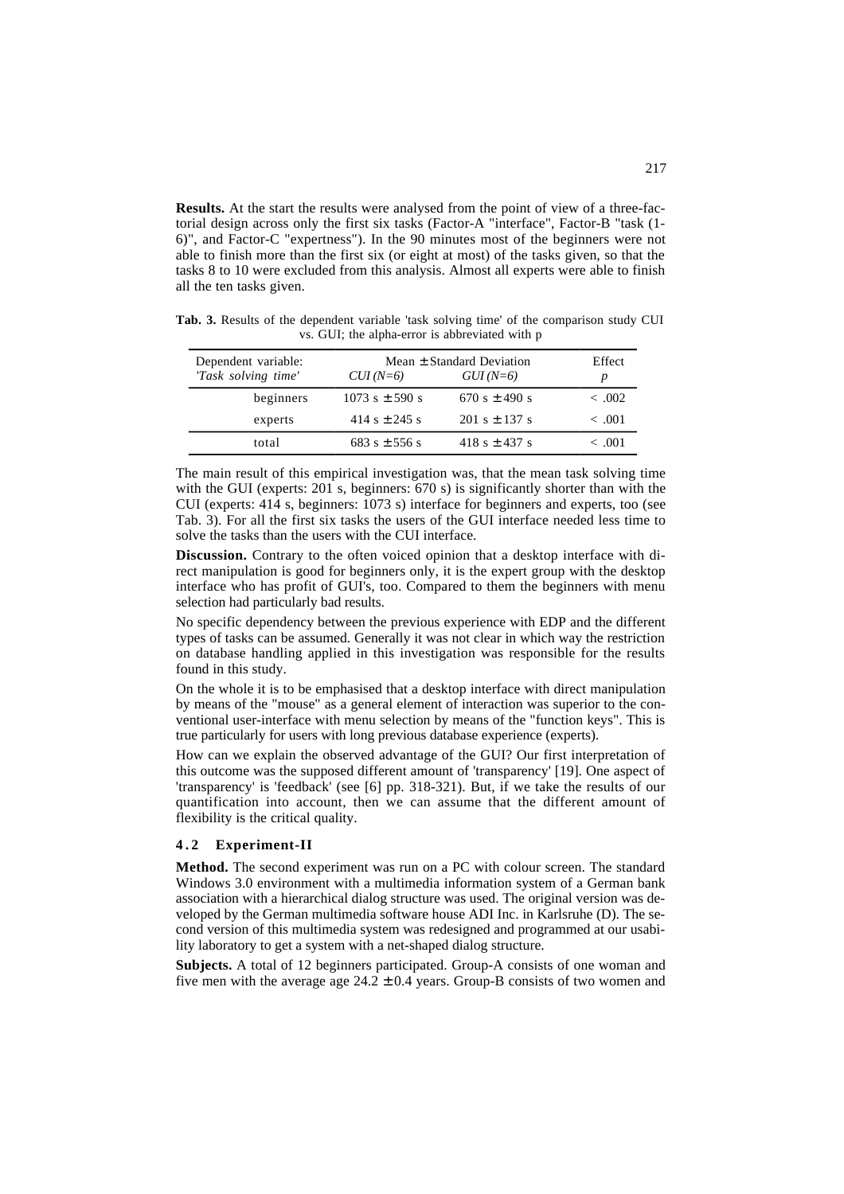**Results.** At the start the results were analysed from the point of view of a three-factorial design across only the first six tasks (Factor-A "interface", Factor-B "task (1- 6)", and Factor-C "expertness"). In the 90 minutes most of the beginners were not able to finish more than the first six (or eight at most) of the tasks given, so that the tasks 8 to 10 were excluded from this analysis. Almost all experts were able to finish all the ten tasks given.

| Dependent variable:<br>'Task solving time' | $CUI(N=6)$           | Mean $\pm$ Standard Deviation<br>$GUI(N=6)$ | Effect<br>p |  |
|--------------------------------------------|----------------------|---------------------------------------------|-------------|--|
| beginners                                  | $1073$ s $\pm$ 590 s | 670 s $\pm$ 490 s                           | < .002      |  |
| experts                                    | 414 s $\pm$ 245 s    | $201 s \pm 137 s$                           | < .001      |  |
| total                                      | 683 s $\pm$ 556 s    | 418 s $\pm$ 437 s                           | $\leq .001$ |  |

**Tab. 3.** Results of the dependent variable 'task solving time' of the comparison study CUI vs. GUI; the alpha-error is abbreviated with p

The main result of this empirical investigation was, that the mean task solving time with the GUI (experts: 201 s, beginners: 670 s) is significantly shorter than with the CUI (experts: 414 s, beginners: 1073 s) interface for beginners and experts, too (see Tab. 3). For all the first six tasks the users of the GUI interface needed less time to solve the tasks than the users with the CUI interface.

**Discussion.** Contrary to the often voiced opinion that a desktop interface with direct manipulation is good for beginners only, it is the expert group with the desktop interface who has profit of GUI's, too. Compared to them the beginners with menu selection had particularly bad results.

No specific dependency between the previous experience with EDP and the different types of tasks can be assumed. Generally it was not clear in which way the restriction on database handling applied in this investigation was responsible for the results found in this study.

On the whole it is to be emphasised that a desktop interface with direct manipulation by means of the "mouse" as a general element of interaction was superior to the conventional user-interface with menu selection by means of the "function keys". This is true particularly for users with long previous database experience (experts).

How can we explain the observed advantage of the GUI? Our first interpretation of this outcome was the supposed different amount of 'transparency' [19]. One aspect of 'transparency' is 'feedback' (see [6] pp. 318-321). But, if we take the results of our quantification into account, then we can assume that the different amount of flexibility is the critical quality.

#### **4.2 Experiment-II**

**Method.** The second experiment was run on a PC with colour screen. The standard Windows 3.0 environment with a multimedia information system of a German bank association with a hierarchical dialog structure was used. The original version was developed by the German multimedia software house ADI Inc. in Karlsruhe (D). The second version of this multimedia system was redesigned and programmed at our usability laboratory to get a system with a net-shaped dialog structure.

**Subjects.** A total of 12 beginners participated. Group-A consists of one woman and five men with the average age  $24.2 \pm 0.4$  years. Group-B consists of two women and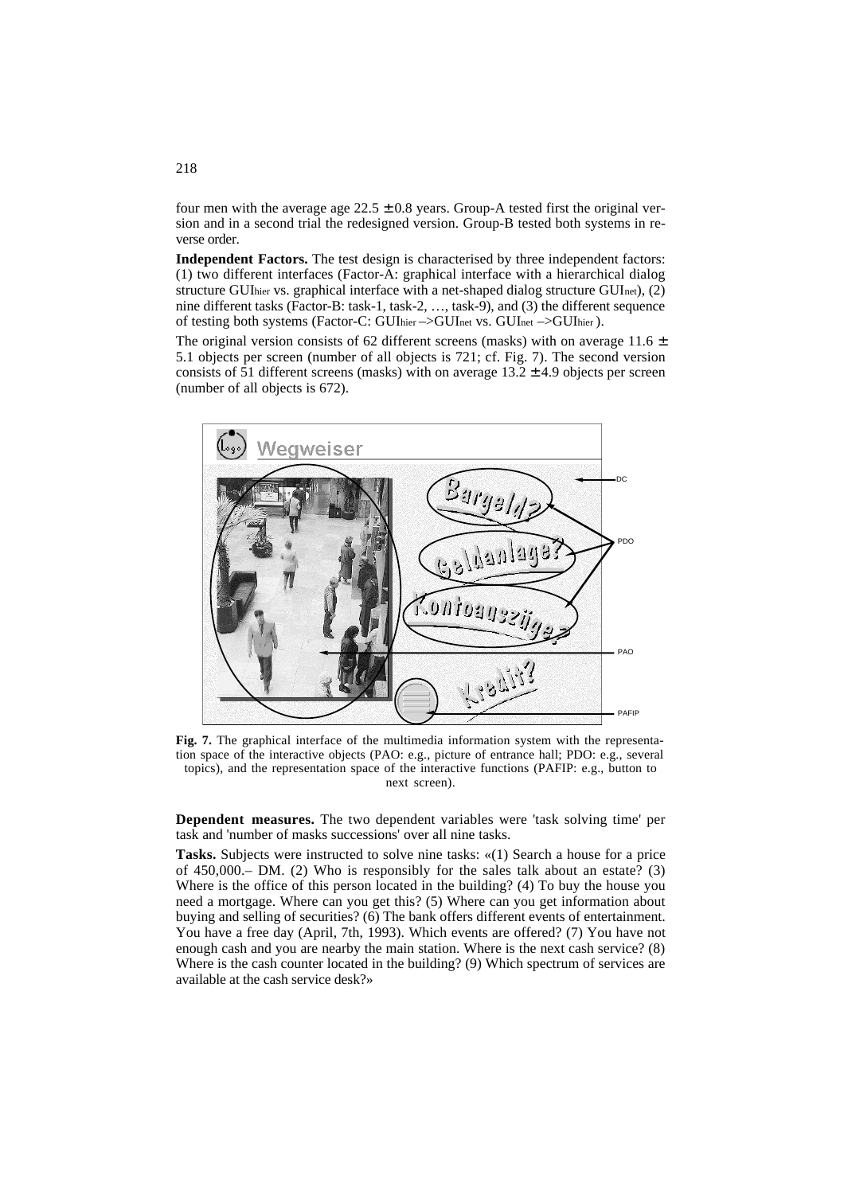four men with the average age  $22.5 \pm 0.8$  years. Group-A tested first the original version and in a second trial the redesigned version. Group-B tested both systems in reverse order.

**Independent Factors.** The test design is characterised by three independent factors: (1) two different interfaces (Factor-A: graphical interface with a hierarchical dialog structure GUIhier vs. graphical interface with a net-shaped dialog structure GUInet), (2) nine different tasks (Factor-B: task-1, task-2, …, task-9), and (3) the different sequence of testing both systems (Factor-C: GUIhier –>GUInet vs. GUInet –>GUIhier ).

The original version consists of 62 different screens (masks) with on average 11.6  $\pm$ 5.1 objects per screen (number of all objects is 721; cf. Fig. 7). The second version consists of 51 different screens (masks) with on average  $13.2 \pm 4.9$  objects per screen (number of all objects is 672).



**Fig. 7.** The graphical interface of the multimedia information system with the representation space of the interactive objects (PAO: e.g., picture of entrance hall; PDO: e.g., several topics), and the representation space of the interactive functions (PAFIP: e.g., button to next screen).

**Dependent measures.** The two dependent variables were 'task solving time' per task and 'number of masks successions' over all nine tasks.

**Tasks.** Subjects were instructed to solve nine tasks: «(1) Search a house for a price of 450,000.– DM. (2) Who is responsibly for the sales talk about an estate? (3) Where is the office of this person located in the building? (4) To buy the house you need a mortgage. Where can you get this? (5) Where can you get information about buying and selling of securities? (6) The bank offers different events of entertainment. You have a free day (April, 7th, 1993). Which events are offered? (7) You have not enough cash and you are nearby the main station. Where is the next cash service? (8) Where is the cash counter located in the building? (9) Which spectrum of services are available at the cash service desk?»

218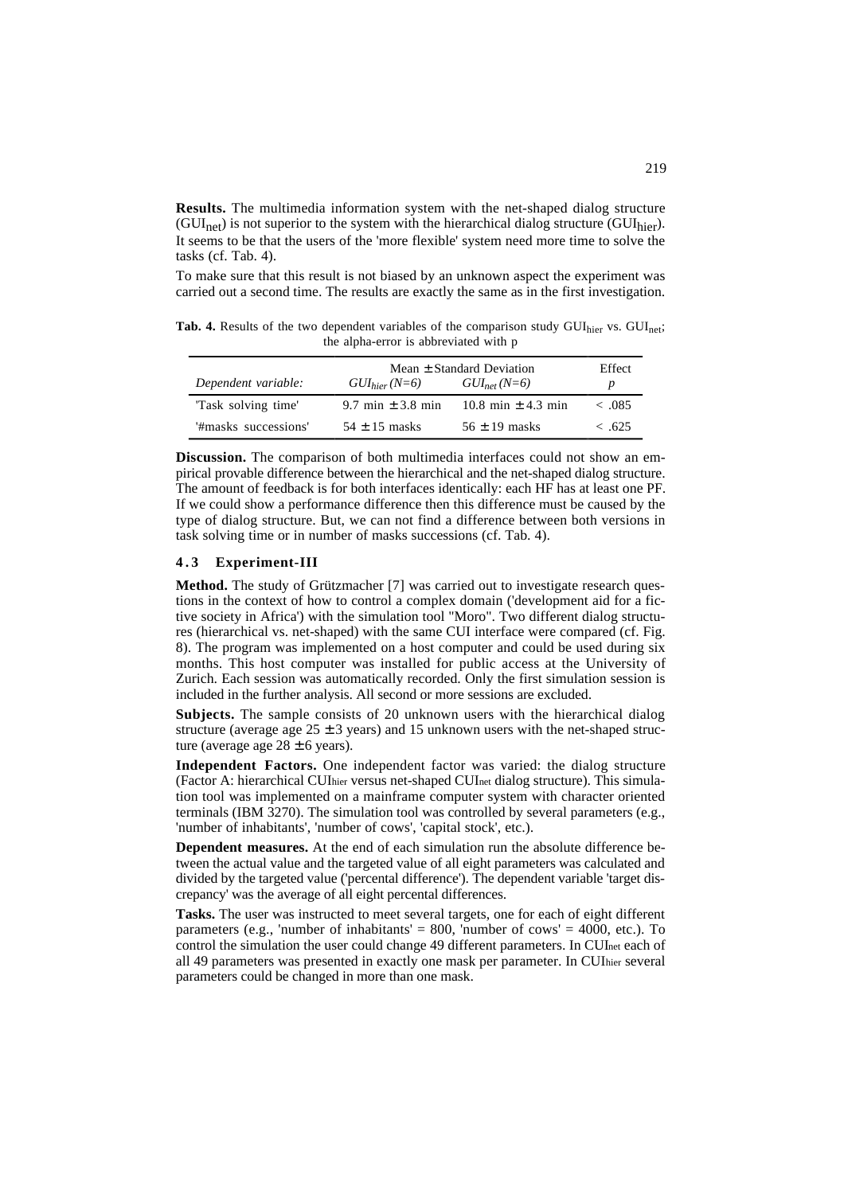**Results.** The multimedia information system with the net-shaped dialog structure (GUInet) is not superior to the system with the hierarchical dialog structure (GUIhier). It seems to be that the users of the 'more flexible' system need more time to solve the tasks (cf. Tab. 4).

To make sure that this result is not biased by an unknown aspect the experiment was carried out a second time. The results are exactly the same as in the first investigation.

Tab. 4. Results of the two dependent variables of the comparison study GUI<sub>hier</sub> vs. GUI<sub>net</sub>; the alpha-error is abbreviated with p

| Dependent variable:  | $GUI_{hier}(N=6)$     | Mean $\pm$ Standard Deviation<br>$GUI_{net}(N=6)$ | Effect<br>D |
|----------------------|-----------------------|---------------------------------------------------|-------------|
| 'Task solving time'  | 9.7 min $\pm$ 3.8 min | 10.8 min $\pm$ 4.3 min                            | < .085      |
| '#masks successions' | $54 \pm 15$ masks     | $56 \pm 19$ masks                                 | &625        |

**Discussion.** The comparison of both multimedia interfaces could not show an empirical provable difference between the hierarchical and the net-shaped dialog structure. The amount of feedback is for both interfaces identically: each HF has at least one PF. If we could show a performance difference then this difference must be caused by the type of dialog structure. But, we can not find a difference between both versions in task solving time or in number of masks successions (cf. Tab. 4).

#### **4 . 3 Experiment-III**

**Method.** The study of Grützmacher [7] was carried out to investigate research questions in the context of how to control a complex domain ('development aid for a fictive society in Africa') with the simulation tool "Moro". Two different dialog structures (hierarchical vs. net-shaped) with the same CUI interface were compared (cf. Fig. 8). The program was implemented on a host computer and could be used during six months. This host computer was installed for public access at the University of Zurich. Each session was automatically recorded. Only the first simulation session is included in the further analysis. All second or more sessions are excluded.

**Subjects.** The sample consists of 20 unknown users with the hierarchical dialog structure (average age  $25 \pm 3$  years) and 15 unknown users with the net-shaped structure (average age  $28 \pm 6$  years).

**Independent Factors.** One independent factor was varied: the dialog structure (Factor A: hierarchical CUIhier versus net-shaped CUInet dialog structure). This simulation tool was implemented on a mainframe computer system with character oriented terminals (IBM 3270). The simulation tool was controlled by several parameters (e.g., 'number of inhabitants', 'number of cows', 'capital stock', etc.).

**Dependent measures.** At the end of each simulation run the absolute difference between the actual value and the targeted value of all eight parameters was calculated and divided by the targeted value ('percental difference'). The dependent variable 'target discrepancy' was the average of all eight percental differences.

**Tasks.** The user was instructed to meet several targets, one for each of eight different parameters (e.g., 'number of inhabitants' =  $800$ , 'number of cows' =  $4000$ , etc.). To control the simulation the user could change 49 different parameters. In CUInet each of all 49 parameters was presented in exactly one mask per parameter. In CUIhier several parameters could be changed in more than one mask.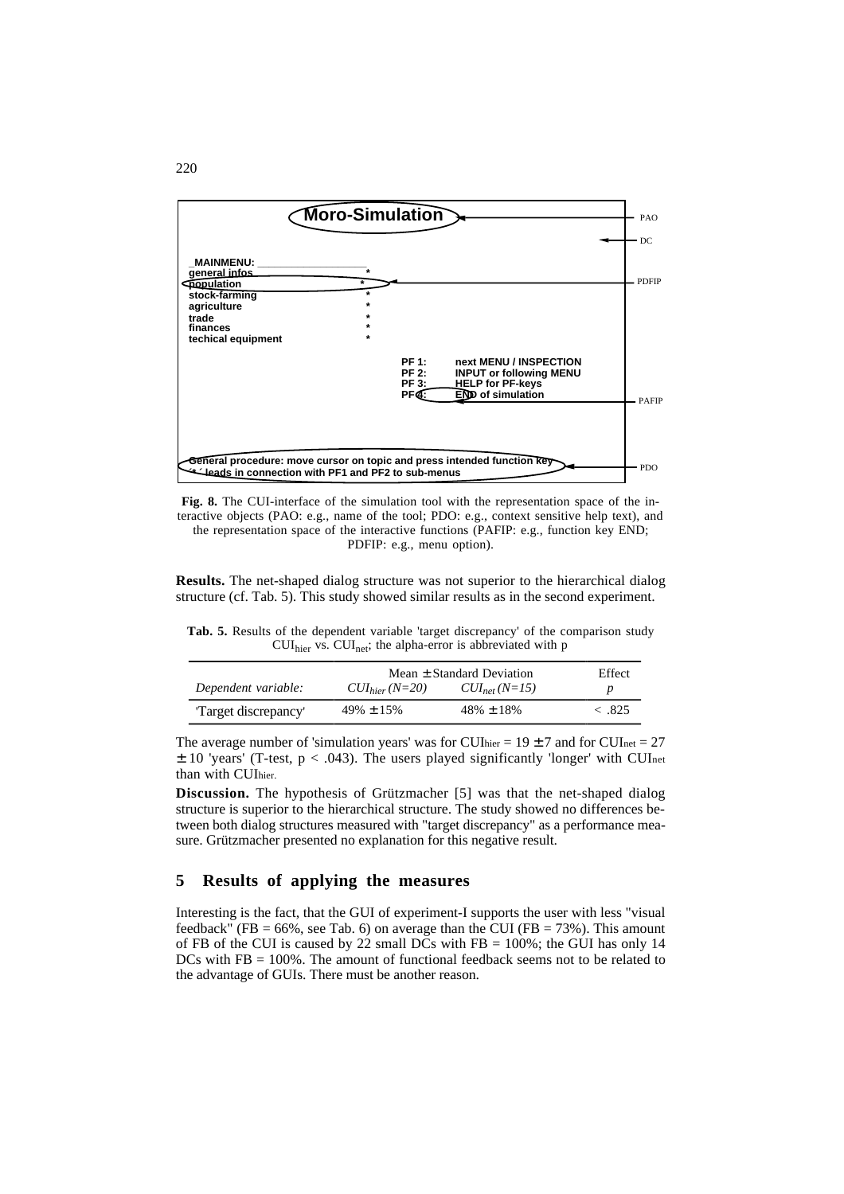

**Fig. 8.** The CUI-interface of the simulation tool with the representation space of the interactive objects (PAO: e.g., name of the tool; PDO: e.g., context sensitive help text), and the representation space of the interactive functions (PAFIP: e.g., function key END; PDFIP: e.g., menu option).

**Results.** The net-shaped dialog structure was not superior to the hierarchical dialog structure (cf. Tab. 5). This study showed similar results as in the second experiment.

**Tab. 5.** Results of the dependent variable 'target discrepancy' of the comparison study CUIhier vs. CUInet; the alpha-error is abbreviated with p

|                     |                     | Mean $\pm$ Standard Deviation | Effect |
|---------------------|---------------------|-------------------------------|--------|
| Dependent variable: | $CUI_{hier}$ (N=20) | $CUI_{net}(N=15)$             |        |
| Target discrepancy  | $49\% \pm 15\%$     | $48\% \pm 18\%$               | < .825 |

The average number of 'simulation years' was for CUI $_{\text{hier}}$  = 19  $\pm$  7 and for CUI $_{\text{net}}$  = 27  $\pm$  10 'years' (T-test, p < .043). The users played significantly 'longer' with CUInet than with CUIhier.

**Discussion.** The hypothesis of Grützmacher [5] was that the net-shaped dialog structure is superior to the hierarchical structure. The study showed no differences between both dialog structures measured with "target discrepancy" as a performance measure. Grützmacher presented no explanation for this negative result.

# **5 Results of applying the measures**

Interesting is the fact, that the GUI of experiment-I supports the user with less "visual feedback" (FB = 66%, see Tab. 6) on average than the CUI (FB = 73%). This amount of FB of the CUI is caused by 22 small DCs with  $FB = 100\%$ ; the GUI has only 14 DCs with FB = 100%. The amount of functional feedback seems not to be related to the advantage of GUIs. There must be another reason.

220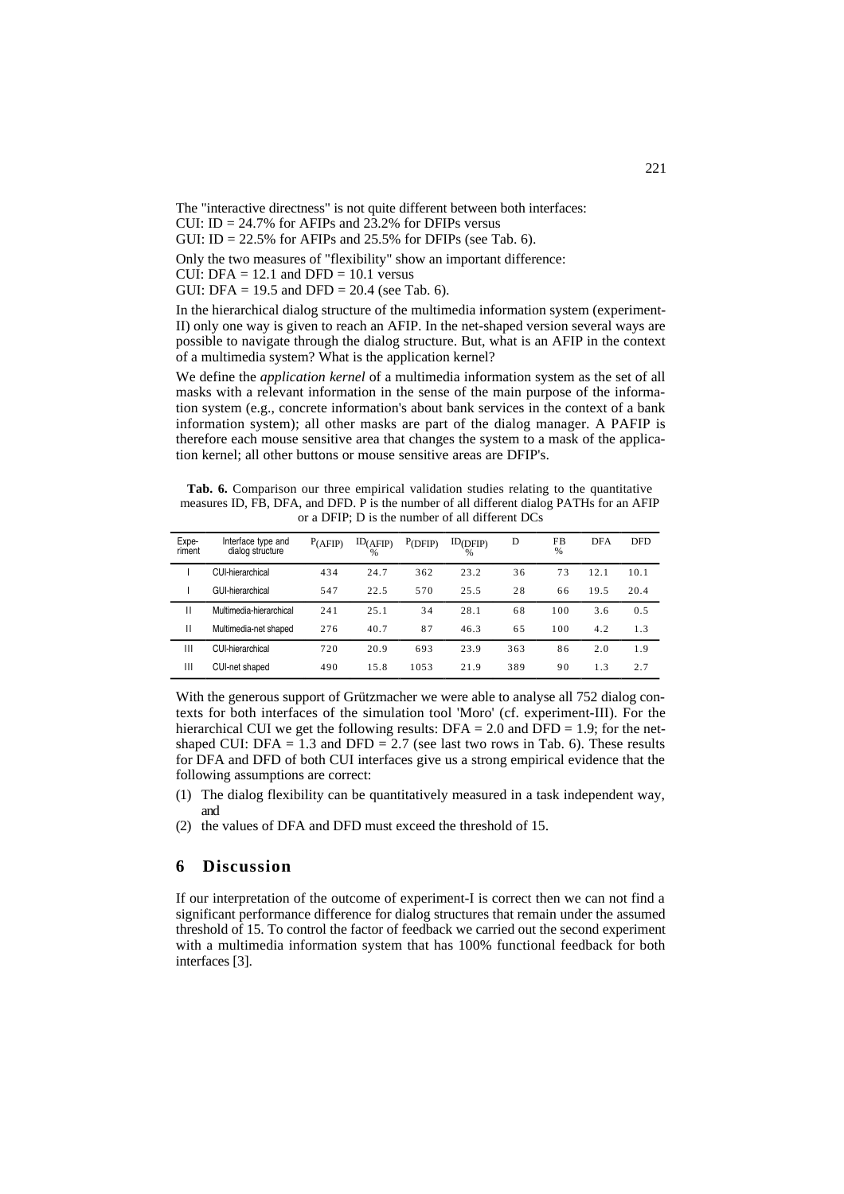The "interactive directness" is not quite different between both interfaces: CUI:  $ID = 24.7\%$  for AFIPs and  $23.2\%$  for DFIPs versus

GUI: ID =  $22.5\%$  for AFIPs and  $25.5\%$  for DFIPs (see Tab. 6).

Only the two measures of "flexibility" show an important difference:

CUI: DFA =  $12.1$  and DFD =  $10.1$  versus

GUI: DFA = 19.5 and DFD = 20.4 (see Tab. 6).

In the hierarchical dialog structure of the multimedia information system (experiment-II) only one way is given to reach an AFIP. In the net-shaped version several ways are possible to navigate through the dialog structure. But, what is an AFIP in the context of a multimedia system? What is the application kernel?

We define the *application kernel* of a multimedia information system as the set of all masks with a relevant information in the sense of the main purpose of the information system (e.g., concrete information's about bank services in the context of a bank information system); all other masks are part of the dialog manager. A PAFIP is therefore each mouse sensitive area that changes the system to a mask of the application kernel; all other buttons or mouse sensitive areas are DFIP's.

**Tab. 6.** Comparison our three empirical validation studies relating to the quantitative measures ID, FB, DFA, and DFD. P is the number of all different dialog PATHs for an AFIP or a DFIP; D is the number of all different DCs

| Expe-<br>riment | Interface type and<br>dialog structure | $P_{(AFIP)}$ | $ID_{(AFIP)}$<br>$\frac{0}{6}$ | $P$ (DFIP) | $ID_{(DFIP)}$ | D   | FB<br>$\%$ | <b>DFA</b> | <b>DFD</b> |
|-----------------|----------------------------------------|--------------|--------------------------------|------------|---------------|-----|------------|------------|------------|
|                 | CUI-hierarchical                       | 434          | 24.7                           | 362        | 23.2          | 36  | 73         | 12.1       | 10.1       |
|                 | GUI-hierarchical                       | 547          | 22.5                           | 570        | 25.5          | 28  | 66         | 19.5       | 20.4       |
| Н               | Multimedia-hierarchical                | 241          | 25.1                           | 34         | 28.1          | 68  | 100        | 3.6        | 0.5        |
| Н               | Multimedia-net shaped                  | 276          | 40.7                           | 87         | 46.3          | 65  | 100        | 4.2        | 1.3        |
| Ш               | CUI-hierarchical                       | 720          | 20.9                           | 693        | 23.9          | 363 | 86         | 2.0        | 1.9        |
| Ш               | CUI-net shaped                         | 490          | 15.8                           | 1053       | 21.9          | 389 | 90         | 1.3        | 2.7        |

With the generous support of Grützmacher we were able to analyse all 752 dialog contexts for both interfaces of the simulation tool 'Moro' (cf. experiment-III). For the hierarchical CUI we get the following results:  $DFA = 2.0$  and  $DFD = 1.9$ ; for the netshaped CUI:  $DFA = 1.3$  and  $DFD = 2.7$  (see last two rows in Tab. 6). These results for DFA and DFD of both CUI interfaces give us a strong empirical evidence that the following assumptions are correct:

- (1) The dialog flexibility can be quantitatively measured in a task independent way, and
- (2) the values of DFA and DFD must exceed the threshold of 15.

## **6 Discussion**

If our interpretation of the outcome of experiment-I is correct then we can not find a significant performance difference for dialog structures that remain under the assumed threshold of 15. To control the factor of feedback we carried out the second experiment with a multimedia information system that has 100% functional feedback for both interfaces [3].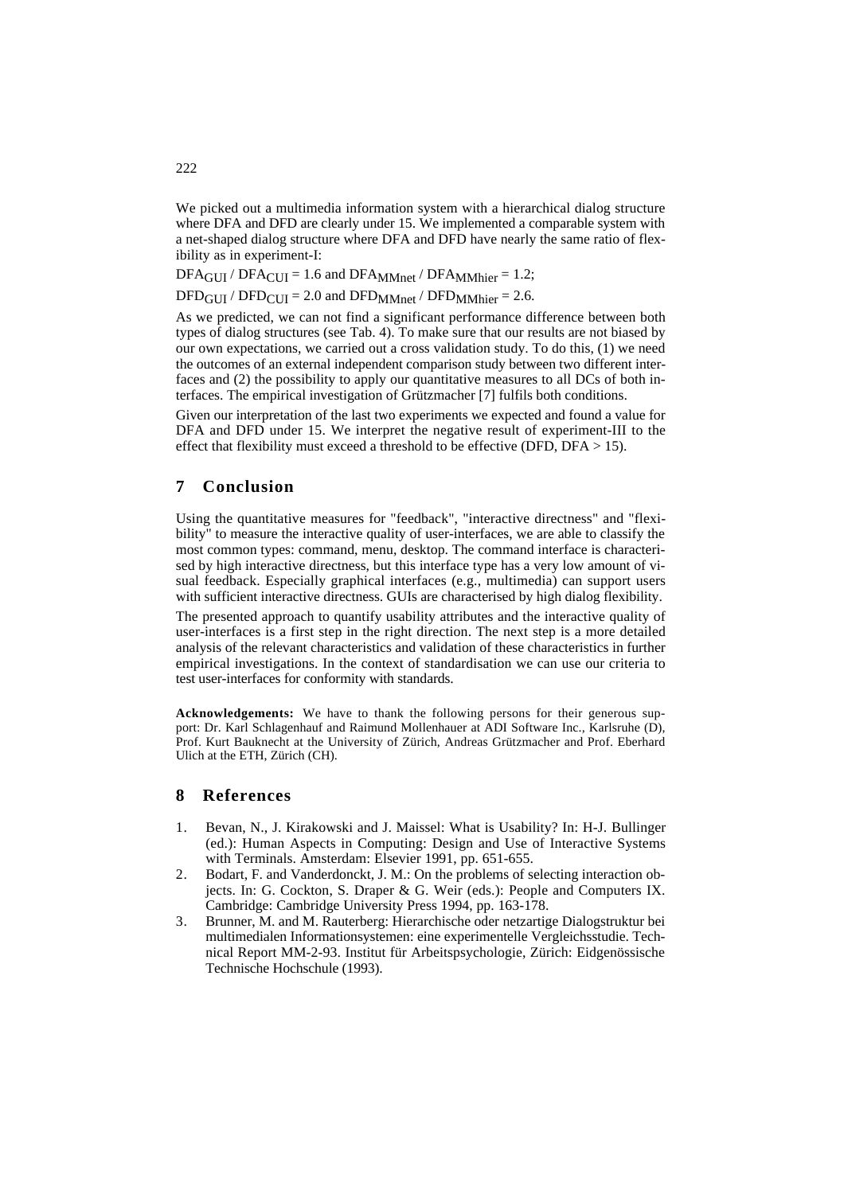We picked out a multimedia information system with a hierarchical dialog structure where DFA and DFD are clearly under 15. We implemented a comparable system with a net-shaped dialog structure where DFA and DFD have nearly the same ratio of flexibility as in experiment-I:

 $DFA_{GUI}$  /  $DFA_{CUI} = 1.6$  and  $DFA_{MMnet}$  /  $DFA_{MMhier} = 1.2$ ;

 $DFD<sub>GUI</sub> / DFD<sub>CUI</sub> = 2.0$  and  $DFD<sub>MMnet</sub> / DFD<sub>MMhier</sub> = 2.6$ .

As we predicted, we can not find a significant performance difference between both types of dialog structures (see Tab. 4). To make sure that our results are not biased by our own expectations, we carried out a cross validation study. To do this, (1) we need the outcomes of an external independent comparison study between two different interfaces and (2) the possibility to apply our quantitative measures to all DCs of both interfaces. The empirical investigation of Grützmacher [7] fulfils both conditions.

Given our interpretation of the last two experiments we expected and found a value for DFA and DFD under 15. We interpret the negative result of experiment-III to the effect that flexibility must exceed a threshold to be effective (DFD,  $DFA > 15$ ).

## **7 Conclusion**

Using the quantitative measures for "feedback", "interactive directness" and "flexibility" to measure the interactive quality of user-interfaces, we are able to classify the most common types: command, menu, desktop. The command interface is characterised by high interactive directness, but this interface type has a very low amount of visual feedback. Especially graphical interfaces (e.g., multimedia) can support users with sufficient interactive directness. GUIs are characterised by high dialog flexibility.

The presented approach to quantify usability attributes and the interactive quality of user-interfaces is a first step in the right direction. The next step is a more detailed analysis of the relevant characteristics and validation of these characteristics in further empirical investigations. In the context of standardisation we can use our criteria to test user-interfaces for conformity with standards.

**Acknowledgements:** We have to thank the following persons for their generous support: Dr. Karl Schlagenhauf and Raimund Mollenhauer at ADI Software Inc., Karlsruhe (D), Prof. Kurt Bauknecht at the University of Zürich, Andreas Grützmacher and Prof. Eberhard Ulich at the ETH, Zürich (CH).

## **8 References**

- 1. Bevan, N., J. Kirakowski and J. Maissel: What is Usability? In: H-J. Bullinger (ed.): Human Aspects in Computing: Design and Use of Interactive Systems with Terminals. Amsterdam: Elsevier 1991, pp. 651-655.
- 2. Bodart, F. and Vanderdonckt, J. M.: On the problems of selecting interaction objects. In: G. Cockton, S. Draper & G. Weir (eds.): People and Computers IX. Cambridge: Cambridge University Press 1994, pp. 163-178.
- 3. Brunner, M. and M. Rauterberg: Hierarchische oder netzartige Dialogstruktur bei multimedialen Informationsystemen: eine experimentelle Vergleichsstudie. Technical Report MM-2-93. Institut für Arbeitspsychologie, Zürich: Eidgenössische Technische Hochschule (1993).